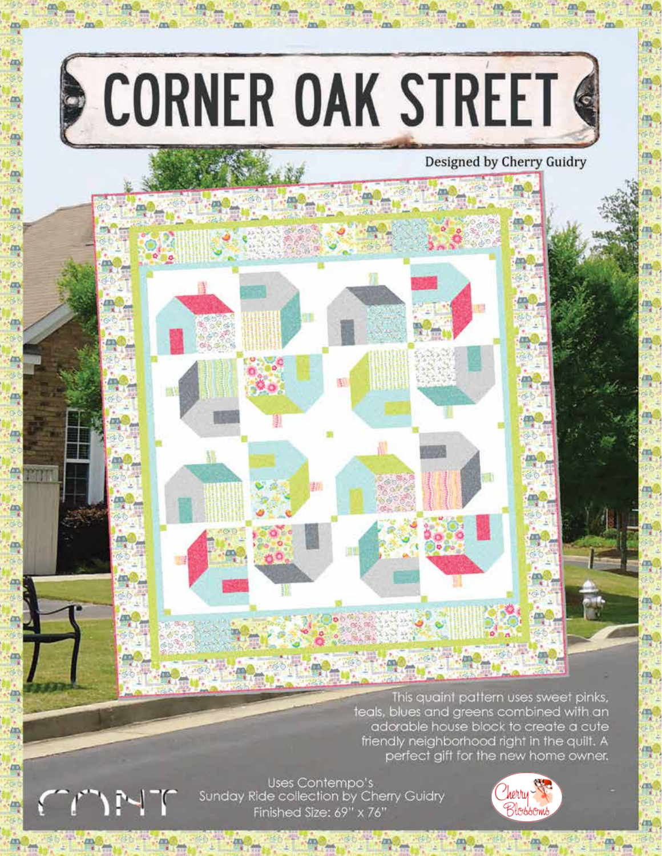

画

冊

冊

Uses Contempo's Sunday Ride collection by Cherry Guidry Finished Size: 69" x 76"

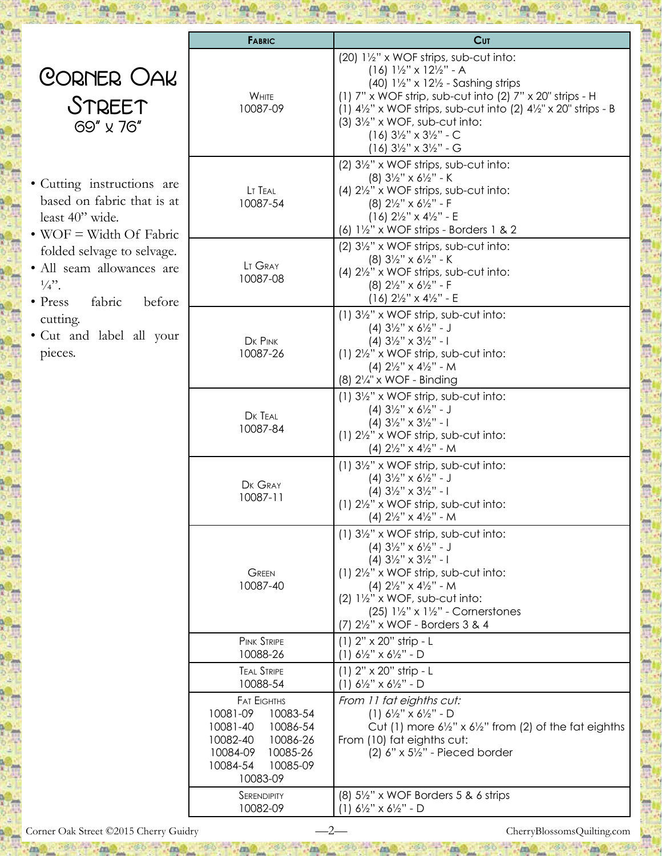|                                                                                                                                                                                                                                                                                | <b>FABRIC</b>                                                                                                                                          | <b>Cut</b>                                                                                                                                                                                                                                                                                                                                                                                              |
|--------------------------------------------------------------------------------------------------------------------------------------------------------------------------------------------------------------------------------------------------------------------------------|--------------------------------------------------------------------------------------------------------------------------------------------------------|---------------------------------------------------------------------------------------------------------------------------------------------------------------------------------------------------------------------------------------------------------------------------------------------------------------------------------------------------------------------------------------------------------|
| CORNER OAK<br>STREET<br>69" x 76"                                                                                                                                                                                                                                              | WHITE<br>10087-09                                                                                                                                      | (20) 1½" x WOF strips, sub-cut into:<br>$(16)$ $1\frac{1}{2}$ " x $12\frac{1}{2}$ " - A<br>(40) $1\frac{1}{2}$ " x $12\frac{1}{2}$ - Sashing strips<br>(1) 7" x WOF strip, sub-cut into (2) 7" x 20" strips - H<br>(1) $4\frac{1}{2}$ " x WOF strips, sub-cut into (2) $4\frac{1}{2}$ " x 20" strips - B<br>$(3)$ $3\frac{1}{2}$ " x WOF, sub-cut into:<br>$(16)$ 3½" x 3½" - C<br>$(16)$ 3½" x 3½" - G |
| · Cutting instructions are<br>based on fabric that is at<br>least 40" wide.<br>• WOF = Width Of Fabric<br>folded selvage to selvage.<br>· All seam allowances are<br>$\frac{1}{4}$ .<br>fabric<br>$\bullet$ Press<br>before<br>cutting.<br>• Cut and label all your<br>pieces. | LT TEAL<br>10087-54                                                                                                                                    | (2) 31/2" x WOF strips, sub-cut into:<br>$(8)$ 3½" x 6½" - K<br>(4) 21/2" x WOF strips, sub-cut into:<br>$(8)$ 2 $\frac{1}{2}$ " x 6 $\frac{1}{2}$ " - F<br>$(16)$ 2 <sup>1</sup> / <sub>2</sub> " x 4 <sup>1</sup> / <sub>2</sub> " - E<br>(6) $1\frac{1}{2}$ " x WOF strips - Borders 1 & 2                                                                                                           |
|                                                                                                                                                                                                                                                                                | LT GRAY<br>10087-08                                                                                                                                    | (2) 31/2" x WOF strips, sub-cut into:<br>$(8)$ 3½" x 6½" - K<br>(4) 21/2" x WOF strips, sub-cut into:<br>$(8)$ 2 $\frac{1}{2}$ " x 6 $\frac{1}{2}$ " - F<br>$(16)$ 2 <sup>1</sup> / <sub>2</sub> " x 4 <sup>1</sup> / <sub>2</sub> " - E                                                                                                                                                                |
|                                                                                                                                                                                                                                                                                | DK PINK<br>10087-26                                                                                                                                    | $(1)$ 3½" x WOF strip, sub-cut into:<br>$(4)$ 3½" x 6½" - J<br>$(4)$ 3 <sup>1</sup> / <sub>2</sub> " x 3 <sup>1</sup> / <sub>2</sub> " - 1<br>$(1)$ 2 $\frac{1}{2}$ " x WOF strip, sub-cut into:<br>(4) $2\frac{1}{2}$ " x 4 $\frac{1}{2}$ " - M<br>$(8)$ 2 $\frac{1}{4}$ x WOF - Binding                                                                                                               |
|                                                                                                                                                                                                                                                                                | DK TEAL<br>10087-84                                                                                                                                    | $(1)$ 3½" x WOF strip, sub-cut into:<br>$(4)$ 3½" x 6½" - J<br>$(4)$ 3 <sup>1</sup> / <sub>2</sub> " x 3 <sup>1</sup> / <sub>2</sub> " - 1<br>$(1)$ 2 $\frac{1}{2}$ " x WOF strip, sub-cut into:<br>(4) $2\frac{1}{2}$ " x 4 $\frac{1}{2}$ " - M                                                                                                                                                        |
|                                                                                                                                                                                                                                                                                | DK GRAY<br>10087-11                                                                                                                                    | $(1)$ 3½" x WOF strip, sub-cut into:<br>$(4)$ 3½" x 6½" - J<br>$(4)$ 3½" x 3½" - 1<br>$(1)$ 2 $\frac{1}{2}$ " x WOF strip, sub-cut into:<br>$(4)$ 2½" x 4½" - M                                                                                                                                                                                                                                         |
|                                                                                                                                                                                                                                                                                | <b>GREEN</b><br>10087-40                                                                                                                               | $(1)$ 3 $\frac{1}{2}$ " x WOF strip, sub-cut into:<br>$(4)$ 3½" x 6½" - J<br>(4) $3\frac{1}{2}$ " x $3\frac{1}{2}$ " - 1<br>$(1)$ 2 $\frac{1}{2}$ " x WOF strip, sub-cut into:<br>(4) $2\frac{1}{2}$ " x 4 $\frac{1}{2}$ " - M<br>$(2)$ $1\frac{1}{2}$ " x WOF, sub-cut into:<br>(25) $1\frac{1}{2}$ " x $1\frac{1}{2}$ " - Cornerstones<br>(7) 21/2" x WOF - Borders 3 & 4                             |
|                                                                                                                                                                                                                                                                                | <b>PINK STRIPE</b><br>10088-26                                                                                                                         | $(1)$ 2" $\times$ 20" strip - L<br>$(1) 6\frac{1}{2}$ " x $6\frac{1}{2}$ " - D                                                                                                                                                                                                                                                                                                                          |
|                                                                                                                                                                                                                                                                                | <b>TEAL STRIPE</b><br>10088-54                                                                                                                         | $(1)$ 2" $\times$ 20" strip - L<br>$(1)$ 6 <sup>1</sup> / <sub>2</sub> " x 6 <sup>1</sup> / <sub>2</sub> " - D                                                                                                                                                                                                                                                                                          |
|                                                                                                                                                                                                                                                                                | <b>FAT EIGHTHS</b><br>10081-09<br>10083-54<br>10081-40<br>10086-54<br>10082-40<br>10086-26<br>10084-09<br>10085-26<br>10084-54<br>10085-09<br>10083-09 | From 11 fat eighths cut:<br>$(1) 6\frac{1}{2}$ " x $6\frac{1}{2}$ " - D<br>Cut (1) more $6\frac{1}{2}$ " x $6\frac{1}{2}$ " from (2) of the fat eighths<br>From (10) fat eighths cut:<br>$(2)$ 6" x 5 $\frac{1}{2}$ " - Pieced border                                                                                                                                                                   |
|                                                                                                                                                                                                                                                                                | SERENDIPITY<br>10082-09                                                                                                                                | $(8)$ 5½" x WOF Borders 5 & 6 strips<br>$(1)$ 6 <sup>1</sup> / <sub>2</sub> " x 6 <sup>1</sup> / <sub>2</sub> " - D                                                                                                                                                                                                                                                                                     |

Jm.

mo ret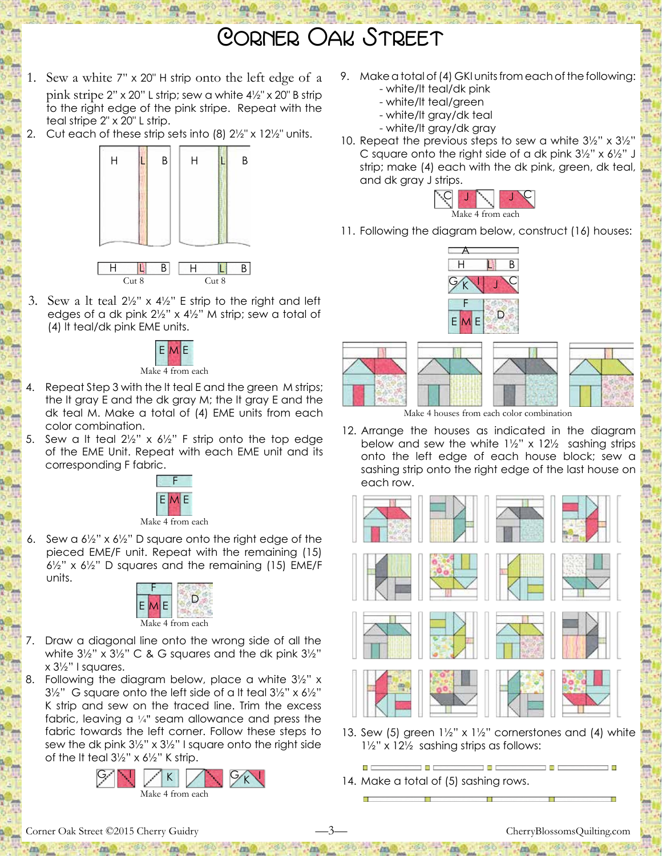## Corner Oak Street

- 1. Sew a white 7" x 20" H strip onto the left edge of a pink stripe 2" x 20" L strip; sew a white 4½" x 20" B strip to the right edge of the pink stripe. Repeat with the teal stripe 2" x 20" L strip.
- Cut each of these strip sets into (8)  $2\frac{1}{2}$ " x 12 $\frac{1}{2}$ " units.



3. Sew a It teal  $2\frac{1}{2}$ " x  $4\frac{1}{2}$ " E strip to the right and left edges of a dk pink 2½" x 4½" M strip; sew a total of (4) lt teal/dk pink EME units.



- Repeat Step 3 with the It teal E and the green M strips; the lt gray E and the dk gray M; the lt gray E and the dk teal M. Make a total of (4) EME units from each color combination.
- Sew a It teal  $2\frac{1}{2}$ " x  $6\frac{1}{2}$ " F strip onto the top edge of the EME Unit. Repeat with each EME unit and its corresponding F fabric.



6. Sew a  $6\frac{1}{2}$ " x  $6\frac{1}{2}$ " D square onto the right edge of the pieced EME/F unit. Repeat with the remaining (15) 6½" x 6½" D squares and the remaining (15) EME/F units.



- 7. Draw a diagonal line onto the wrong side of all the white 3½" x 3½" C & G squares and the dk pink 3½" x 3½" I squares.
- Following the diagram below, place a white  $3\frac{1}{2}$ " x  $3\frac{1}{2}$ " G square onto the left side of a It teal  $3\frac{1}{2}$ " x  $6\frac{1}{2}$ " K strip and sew on the traced line. Trim the excess fabric, leaving a ¼" seam allowance and press the fabric towards the left corner. Follow these steps to sew the dk pink 3½" x 3½" I square onto the right side of the lt teal 3½" x 6½" K strip.



- 9. Make a total of (4) GKI units from each of the following: - white/lt teal/dk pink
	- white/lt teal/green
	- white/lt gray/dk teal
	- white/lt gray/dk gray
- 10. Repeat the previous steps to sew a white 3½" x 3½" C square onto the right side of a dk pink 3½" x 6½" J strip; make (4) each with the dk pink, green, dk teal, and dk gray J strips.



11. Following the diagram below, construct (16) houses:





Make 4 houses from each color combination

12. Arrange the houses as indicated in the diagram below and sew the white  $1\frac{1}{2}$ " x  $12\frac{1}{2}$  sashing strips onto the left edge of each house block; sew a sashing strip onto the right edge of the last house on each row.



- 13. Sew (5) green  $1\frac{1}{2}$ " x  $1\frac{1}{2}$ " cornerstones and (4) white 1½" x 12½ sashing strips as follows:
- 14. Make a total of (5) sashing rows.

Corner Oak Street ©2015 Cherry Guidry —3— CherryBlossomsQuilting.com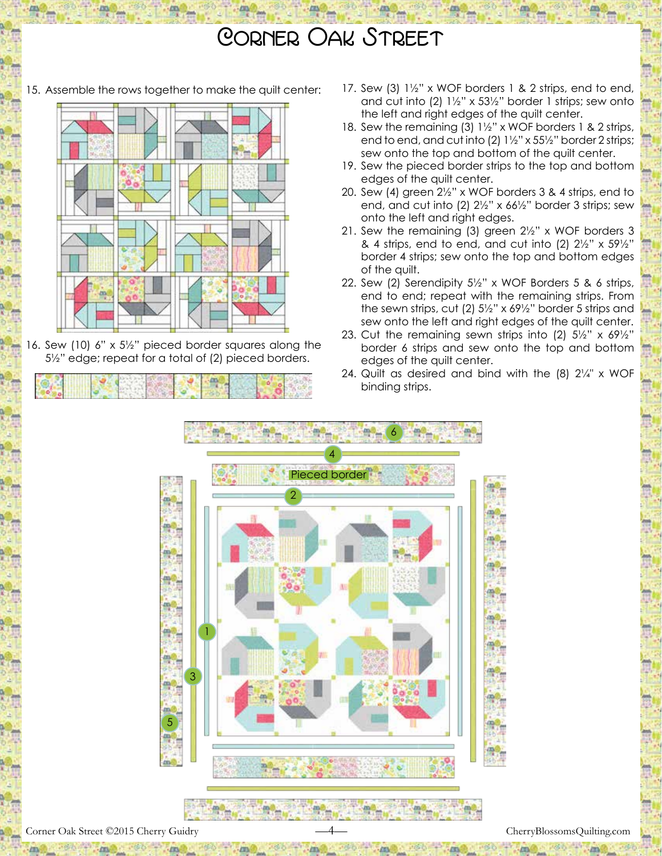## Corner Oak Street

15. Assemble the rows together to make the quilt center:



16. Sew (10) 6" x 5½" pieced border squares along the 5½" edge; repeat for a total of (2) pieced borders.

- 17. Sew (3) 1½" x WOF borders 1 & 2 strips, end to end, and cut into (2) 1½" x 53½" border 1 strips; sew onto the left and right edges of the quilt center.
- 18. Sew the remaining (3) 1½" x WOF borders 1 & 2 strips, end to end, and cut into (2) 1½" x 55½" border 2 strips; sew onto the top and bottom of the quilt center.
- 19. Sew the pieced border strips to the top and bottom edges of the quilt center.
- 20. Sew (4) green 2½" x WOF borders 3 & 4 strips, end to end, and cut into (2) 2½" x 66½" border 3 strips; sew onto the left and right edges.
- 21. Sew the remaining (3) green 2½" x WOF borders 3 & 4 strips, end to end, and cut into (2)  $2\frac{1}{2}$ " x  $59\frac{1}{2}$ " border 4 strips; sew onto the top and bottom edges of the quilt.
- 22. Sew (2) Serendipity 5½" x WOF Borders 5 & 6 strips, end to end; repeat with the remaining strips. From the sewn strips, cut (2) 5½" x 69½" border 5 strips and sew onto the left and right edges of the quilt center.
- 23. Cut the remaining sewn strips into (2) 5½" x 69½" border 6 strips and sew onto the top and bottom edges of the quilt center.
- 24. Quilt as desired and bind with the  $(8)$   $2\frac{1}{4}$ " x WOF binding strips.